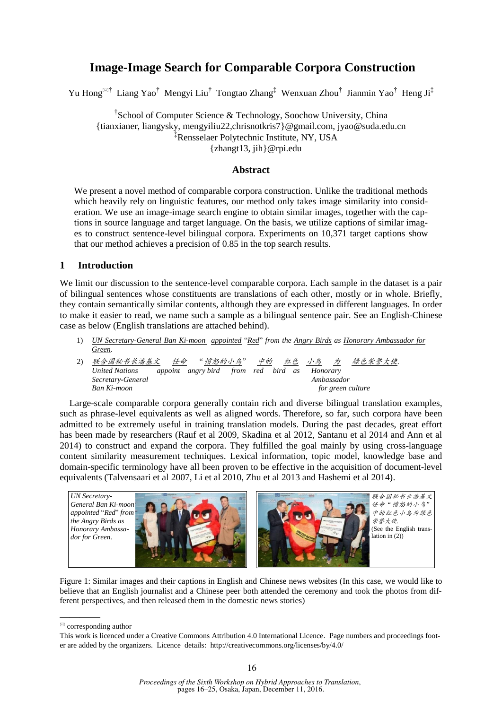# **Image-Image Search for Comparable Corpora Construction**

Yu Hong<sup>⊠†</sup> Liang Yao<sup>†</sup> Mengyi Liu<sup>†</sup> Tongtao Zhang<sup>‡</sup> Wenxuan Zhou<sup>†</sup> Jianmin Yao<sup>†</sup> Heng Ji<sup>‡</sup>

†School of Computer Science & Technology, Soochow University, China {tianxianer, liangysky, mengyiliu22,chrisnotkris7}@gmail.com, jyao@suda.edu.cn ‡Rensselaer Polytechnic Institute, NY, USA {zhangt13, jih}@rpi.edu

## **Abstract**

We present a novel method of comparable corpora construction. Unlike the traditional methods which heavily rely on linguistic features, our method only takes image similarity into consideration. We use an image-image search engine to obtain similar images, together with the captions in source language and target language. On the basis, we utilize captions of similar images to construct sentence-level bilingual corpora. Experiments on 10,371 target captions show that our method achieves a precision of 0.85 in the top search results.

# **1 Introduction**

We limit our discussion to the sentence-level comparable corpora. Each sample in the dataset is a pair of bilingual sentences whose constituents are translations of each other, mostly or in whole. Briefly, they contain semantically similar contents, although they are expressed in different languages. In order to make it easier to read, we name such a sample as a bilingual sentence pair. See an English-Chinese case as below (English translations are attached behind).

- 1) *UN Secretary-General Ban Ki-moon appointed* "*Red*" *from the Angry Birds as Honorary Ambassador for Green*.
- 2) 联合国秘书长潘基文 任命 "愤怒的小鸟" 中的 红色 小鸟 为 绿色荣誉大使 *United Nations appoint angry bird from red bird as Honorary Secretary-General Ambassador Ban Ki-moon* for green culture

Large-scale comparable corpora generally contain rich and diverse bilingual translation examples, such as phrase-level equivalents as well as aligned words. Therefore, so far, such corpora have been admitted to be extremely useful in training translation models. During the past decades, great effort has been made by researchers (Rauf et al 2009, Skadina et al 2012, Santanu et al 2014 and Ann et al 2014) to construct and expand the corpora. They fulfilled the goal mainly by using cross-language content similarity measurement techniques. Lexical information, topic model, knowledge base and domain-specific terminology have all been proven to be effective in the acquisition of document-level equivalents (Talvensaari et al 2007, Li et al 2010, Zhu et al 2013 and Hashemi et al 2014).



Figure 1: Similar images and their captions in English and Chinese news websites (In this case, we would like to believe that an English journalist and a Chinese peer both attended the ceremony and took the photos from different perspectives, and then released them in the domestic news stories)

**————**

 $\mathbb{Z}$  corresponding author

This work is licenced under a Creative Commons Attribution 4.0 International Licence. Page numbers and proceedings footer are added by the organizers. Licence details: http://creativecommons.org/licenses/by/4.0/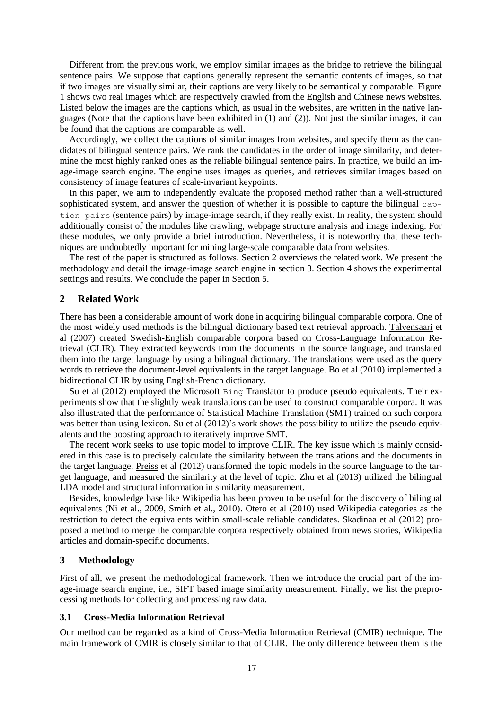Different from the previous work, we employ similar images as the bridge to retrieve the bilingual sentence pairs. We suppose that captions generally represent the semantic contents of images, so that if two images are visually similar, their captions are very likely to be semantically comparable. Figure 1 shows two real images which are respectively crawled from the English and Chinese news websites. Listed below the images are the captions which, as usual in the websites, are written in the native languages (Note that the captions have been exhibited in  $(1)$  and  $(2)$ ). Not just the similar images, it can be found that the captions are comparable as well.

Accordingly, we collect the captions of similar images from websites, and specify them as the candidates of bilingual sentence pairs. We rank the candidates in the order of image similarity, and determine the most highly ranked ones as the reliable bilingual sentence pairs. In practice, we build an image-image search engine. The engine uses images as queries, and retrieves similar images based on consistency of image features of scale-invariant keypoints.

In this paper, we aim to independently evaluate the proposed method rather than a well-structured sophisticated system, and answer the question of whether it is possible to capture the bilingual caption pairs (sentence pairs) by image-image search, if they really exist. In reality, the system should additionally consist of the modules like crawling, webpage structure analysis and image indexing. For these modules, we only provide a brief introduction. Nevertheless, it is noteworthy that these techniques are undoubtedly important for mining large-scale comparable data from websites.

The rest of the paper is structured as follows. Section 2 overviews the related work. We present the methodology and detail the image-image search engine in section 3. Section 4 shows the experimental settings and results. We conclude the paper in Section 5.

# **2 Related Work**

There has been a considerable amount of work done in acquiring bilingual comparable corpora. One of the most widely used methods is the bilingual dictionary based text retrieval approach. Talvensaari et al (2007) created Swedish-English comparable corpora based on Cross-Language Information Retrieval (CLIR). They extracted keywords from the documents in the source language, and translated them into the target language by using a bilingual dictionary. The translations were used as the query words to retrieve the document-level equivalents in the target language. Bo et al (2010) implemented a bidirectional CLIR by using English-French dictionary.

Su et al (2012) employed the Microsoft Bing Translator to produce pseudo equivalents. Their experiments show that the slightly weak translations can be used to construct comparable corpora. It was also illustrated that the performance of Statistical Machine Translation (SMT) trained on such corpora was better than using lexicon. Su et al (2012)'s work shows the possibility to utilize the pseudo equivalents and the boosting approach to iteratively improve SMT.

The recent work seeks to use topic model to improve CLIR. The key issue which is mainly considered in this case is to precisely calculate the similarity between the translations and the documents in the target language. Preiss et al (2012) transformed the topic models in the source language to the target language, and measured the similarity at the level of topic. Zhu et al (2013) utilized the bilingual LDA model and structural information in similarity measurement.

Besides, knowledge base like Wikipedia has been proven to be useful for the discovery of bilingual equivalents (Ni et al., 2009, Smith et al., 2010). Otero et al (2010) used Wikipedia categories as the restriction to detect the equivalents within small-scale reliable candidates. Skadinaa et al (2012) proposed a method to merge the comparable corpora respectively obtained from news stories, Wikipedia articles and domain-specific documents.

# **3 Methodology**

First of all, we present the methodological framework. Then we introduce the crucial part of the image-image search engine, i.e., SIFT based image similarity measurement. Finally, we list the preprocessing methods for collecting and processing raw data.

## **3.1 Cross-Media Information Retrieval**

Our method can be regarded as a kind of Cross-Media Information Retrieval (CMIR) technique. The main framework of CMIR is closely similar to that of CLIR. The only difference between them is the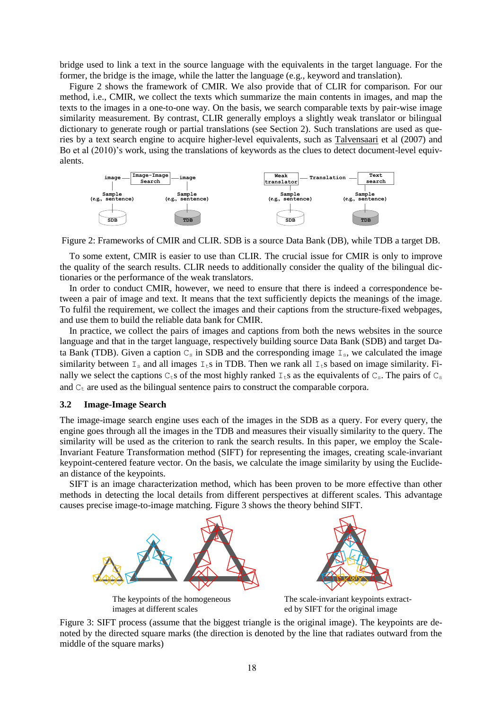bridge used to link a text in the source language with the equivalents in the target language. For the former, the bridge is the image, while the latter the language (e.g., keyword and translation).

Figure 2 shows the framework of CMIR. We also provide that of CLIR for comparison. For our method, i.e., CMIR, we collect the texts which summarize the main contents in images, and map the texts to the images in a one-to-one way. On the basis, we search comparable texts by pair-wise image similarity measurement. By contrast, CLIR generally employs a slightly weak translator or bilingual dictionary to generate rough or partial translations (see Section 2). Such translations are used as queries by a text search engine to acquire higher-level equivalents, such as Talvensaari et al (2007) and Bo et al (2010)'s work, using the translations of keywords as the clues to detect document-level equivalents.



Figure 2: Frameworks of CMIR and CLIR. SDB is a source Data Bank (DB), while TDB a target DB.

To some extent, CMIR is easier to use than CLIR. The crucial issue for CMIR is only to improve the quality of the search results. CLIR needs to additionally consider the quality of the bilingual dictionaries or the performance of the weak translators.

In order to conduct CMIR, however, we need to ensure that there is indeed a correspondence between a pair of image and text. It means that the text sufficiently depicts the meanings of the image. To fulfil the requirement, we collect the images and their captions from the structure-fixed webpages, and use them to build the reliable data bank for CMIR.

In practice, we collect the pairs of images and captions from both the news websites in the source language and that in the target language, respectively building source Data Bank (SDB) and target Data Bank (TDB). Given a caption  $C_s$  in SDB and the corresponding image  $I_s$ , we calculated the image similarity between  $I_s$  and all images  $I_t$ s in TDB. Then we rank all  $I_t$ s based on image similarity. Finally we select the captions  $C_t$ s of the most highly ranked  $I_t$ s as the equivalents of  $C_s$ . The pairs of  $C_s$ and  $C_t$  are used as the bilingual sentence pairs to construct the comparable corpora.

## **3.2 Image-Image Search**

The image-image search engine uses each of the images in the SDB as a query. For every query, the engine goes through all the images in the TDB and measures their visually similarity to the query. The similarity will be used as the criterion to rank the search results. In this paper, we employ the Scale-Invariant Feature Transformation method (SIFT) for representing the images, creating scale-invariant keypoint-centered feature vector. On the basis, we calculate the image similarity by using the Euclidean distance of the keypoints.

SIFT is an image characterization method, which has been proven to be more effective than other methods in detecting the local details from different perspectives at different scales. This advantage causes precise image-to-image matching. Figure 3 shows the theory behind SIFT.



images at different scales

The scale-invariant keypoints extracted by SIFT for the original image

Figure 3: SIFT process (assume that the biggest triangle is the original image). The keypoints are denoted by the directed square marks (the direction is denoted by the line that radiates outward from the middle of the square marks)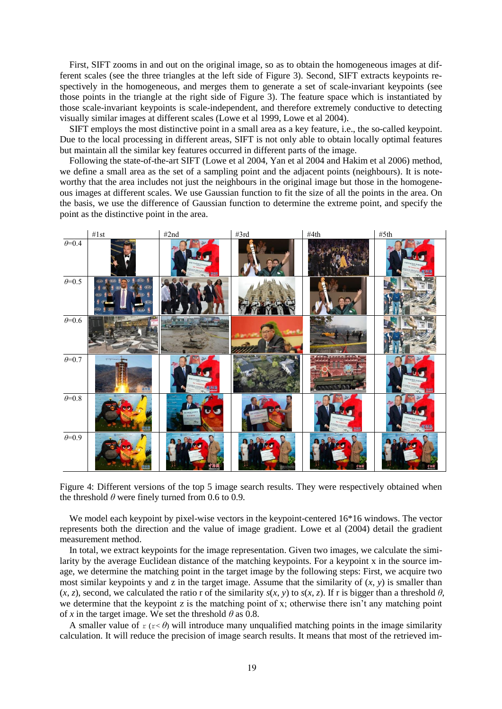First, SIFT zooms in and out on the original image, so as to obtain the homogeneous images at different scales (see the three triangles at the left side of Figure 3). Second, SIFT extracts keypoints respectively in the homogeneous, and merges them to generate a set of scale-invariant keypoints (see those points in the triangle at the right side of Figure 3). The feature space which is instantiated by those scale-invariant keypoints is scale-independent, and therefore extremely conductive to detecting visually similar images at different scales (Lowe et al 1999, Lowe et al 2004).

SIFT employs the most distinctive point in a small area as a key feature, i.e., the so-called keypoint. Due to the local processing in different areas, SIFT is not only able to obtain locally optimal features but maintain all the similar key features occurred in different parts of the image.

Following the state-of-the-art SIFT (Lowe et al 2004, Yan et al 2004 and Hakim et al 2006) method, we define a small area as the set of a sampling point and the adjacent points (neighbours). It is noteworthy that the area includes not just the neighbours in the original image but those in the homogeneous images at different scales. We use Gaussian function to fit the size of all the points in the area. On the basis, we use the difference of Gaussian function to determine the extreme point, and specify the point as the distinctive point in the area.



Figure 4: Different versions of the top 5 image search results. They were respectively obtained when the threshold  $\theta$  were finely turned from 0.6 to 0.9.

We model each keypoint by pixel-wise vectors in the keypoint-centered 16<sup>\*</sup>16 windows. The vector represents both the direction and the value of image gradient. Lowe et al (2004) detail the gradient measurement method.

In total, we extract keypoints for the image representation. Given two images, we calculate the similarity by the average Euclidean distance of the matching keypoints. For a keypoint x in the source image, we determine the matching point in the target image by the following steps: First, we acquire two most similar keypoints y and z in the target image. Assume that the similarity of  $(x, y)$  is smaller than  $(x, z)$ , second, we calculated the ratio r of the similarity  $s(x, y)$  to  $s(x, z)$ . If r is bigger than a threshold  $\theta$ , we determine that the keypoint z is the matching point of x; otherwise there isn't any matching point of *x* in the target image. We set the threshold  $\theta$  as 0.8.

A smaller value of  $r(r \le \theta)$  will introduce many unqualified matching points in the image similarity calculation. It will reduce the precision of image search results. It means that most of the retrieved im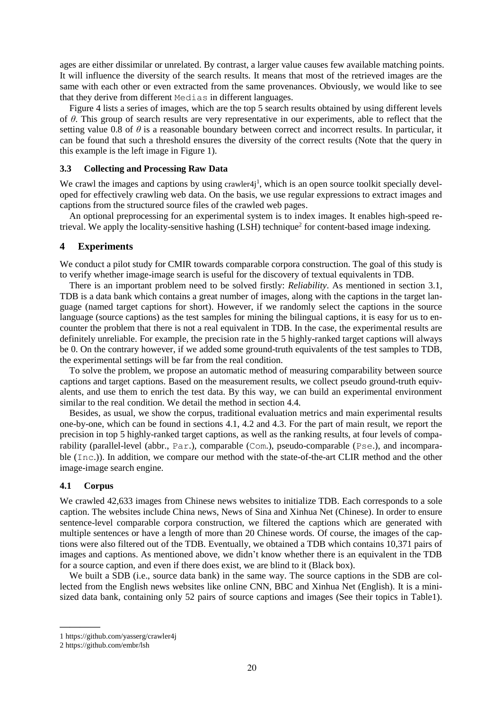ages are either dissimilar or unrelated. By contrast, a larger value causes few available matching points. It will influence the diversity of the search results. It means that most of the retrieved images are the same with each other or even extracted from the same provenances. Obviously, we would like to see that they derive from different Medias in different languages.

Figure 4 lists a series of images, which are the top 5 search results obtained by using different levels of *θ*. This group of search results are very representative in our experiments, able to reflect that the setting value 0.8 of  $\theta$  is a reasonable boundary between correct and incorrect results. In particular, it can be found that such a threshold ensures the diversity of the correct results (Note that the query in this example is the left image in Figure 1).

## **3.3 Collecting and Processing Raw Data**

We crawl the images and captions by using crawler4 $j<sup>1</sup>$ , which is an open source toolkit specially developed for effectively crawling web data. On the basis, we use regular expressions to extract images and captions from the structured source files of the crawled web pages.

An optional preprocessing for an experimental system is to index images. It enables high-speed retrieval. We apply the locality-sensitive hashing (LSH) technique<sup>2</sup> for content-based image indexing.

# **4 Experiments**

We conduct a pilot study for CMIR towards comparable corpora construction. The goal of this study is to verify whether image-image search is useful for the discovery of textual equivalents in TDB.

There is an important problem need to be solved firstly: *Reliability*. As mentioned in section 3.1, TDB is a data bank which contains a great number of images, along with the captions in the target language (named target captions for short). However, if we randomly select the captions in the source language (source captions) as the test samples for mining the bilingual captions, it is easy for us to encounter the problem that there is not a real equivalent in TDB. In the case, the experimental results are definitely unreliable. For example, the precision rate in the 5 highly-ranked target captions will always be 0. On the contrary however, if we added some ground-truth equivalents of the test samples to TDB, the experimental settings will be far from the real condition.

To solve the problem, we propose an automatic method of measuring comparability between source captions and target captions. Based on the measurement results, we collect pseudo ground-truth equivalents, and use them to enrich the test data. By this way, we can build an experimental environment similar to the real condition. We detail the method in section 4.4.

Besides, as usual, we show the corpus, traditional evaluation metrics and main experimental results one-by-one, which can be found in sections 4.1, 4.2 and 4.3. For the part of main result, we report the precision in top 5 highly-ranked target captions, as well as the ranking results, at four levels of comparability (parallel-level (abbr., Par.), comparable (Com.), pseudo-comparable (Pse.), and incomparable (Inc.)). In addition, we compare our method with the state-of-the-art CLIR method and the other image-image search engine.

## **4.1 Corpus**

We crawled 42,633 images from Chinese news websites to initialize TDB. Each corresponds to a sole caption. The websites include China news, News of Sina and Xinhua Net (Chinese). In order to ensure sentence-level comparable corpora construction, we filtered the captions which are generated with multiple sentences or have a length of more than 20 Chinese words. Of course, the images of the captions were also filtered out of the TDB. Eventually, we obtained a TDB which contains 10,371 pairs of images and captions. As mentioned above, we didn't know whether there is an equivalent in the TDB for a source caption, and even if there does exist, we are blind to it (Black box).

We built a SDB (i.e., source data bank) in the same way. The source captions in the SDB are collected from the English news websites like online CNN, BBC and Xinhua Net (English). It is a minisized data bank, containing only 52 pairs of source captions and images (See their topics in Table1).

**————**

<sup>1</sup> https://github.com/yasserg/crawler4j

<sup>2</sup> https://github.com/embr/lsh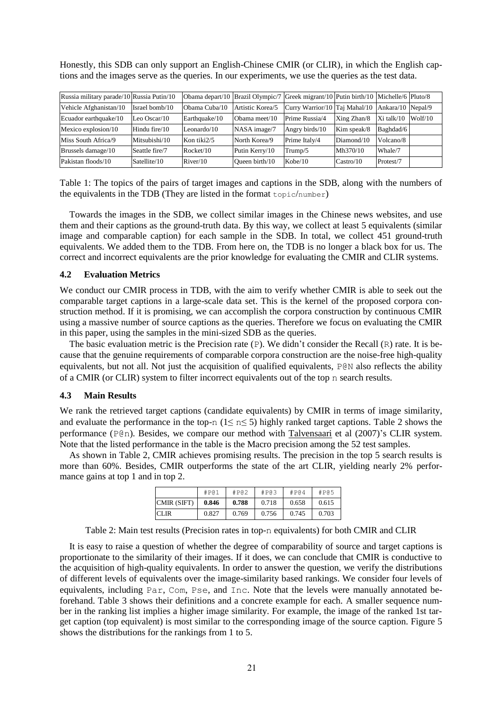Honestly, this SDB can only support an English-Chinese CMIR (or CLIR), in which the English captions and the images serve as the queries. In our experiments, we use the queries as the test data.

| Russia military parade/10 Russia Putin/10 |                 |                |                  | Obama depart/10   Brazil Olympic/7   Greek migrant/10   Putin birth/10   Michelle/6   Pluto/8 |             |            |         |
|-------------------------------------------|-----------------|----------------|------------------|-----------------------------------------------------------------------------------------------|-------------|------------|---------|
| Vehicle Afghanistan/10                    | Israel bomb/10  | Obama Cuba/10  | Artistic Korea/5 | Curry Warrior/10 Taj Mahal/10 Ankara/10 Nepal/9                                               |             |            |         |
| Ecuador earthquake/10                     | Leo Oscar $/10$ | Earthquake/10  | Obama meet/10    | Prime Russia/4                                                                                | Xing Zhan/8 | Xi talk/10 | Wolf/10 |
| Mexico explosion/10                       | Hindu fire/10   | Leonardo/10    | NASA image/7     | Angry birds/10                                                                                | Kim speak/8 | Baghdad/6  |         |
| Miss South Africa/9                       | Mitsubishi/10   | Kon tiki $2/5$ | North Korea/9    | Prime Italy/4                                                                                 | Diamond/10  | Volcano/8  |         |
| Brussels damage/10                        | Seattle fire/7  | Rocket/10      | Putin Kerry/10   | Trump/5                                                                                       | Mh370/10    | Whale/7    |         |
| Pakistan floods/10                        | Satellite/10    | River/10       | Oueen birth/10   | Kobe/10                                                                                       | Castro/10   | Protest/7  |         |

Table 1: The topics of the pairs of target images and captions in the SDB, along with the numbers of the equivalents in the TDB (They are listed in the format topic/number)

Towards the images in the SDB, we collect similar images in the Chinese news websites, and use them and their captions as the ground-truth data. By this way, we collect at least 5 equivalents (similar image and comparable caption) for each sample in the SDB. In total, we collect 451 ground-truth equivalents. We added them to the TDB. From here on, the TDB is no longer a black box for us. The correct and incorrect equivalents are the prior knowledge for evaluating the CMIR and CLIR systems.

## **4.2 Evaluation Metrics**

We conduct our CMIR process in TDB, with the aim to verify whether CMIR is able to seek out the comparable target captions in a large-scale data set. This is the kernel of the proposed corpora construction method. If it is promising, we can accomplish the corpora construction by continuous CMIR using a massive number of source captions as the queries. Therefore we focus on evaluating the CMIR in this paper, using the samples in the mini-sized SDB as the queries.

The basic evaluation metric is the Precision rate (P). We didn't consider the Recall (R) rate. It is because that the genuine requirements of comparable corpora construction are the noise-free high-quality equivalents, but not all. Not just the acquisition of qualified equivalents, P@N also reflects the ability of a CMIR (or CLIR) system to filter incorrect equivalents out of the top n search results.

## **4.3 Main Results**

We rank the retrieved target captions (candidate equivalents) by CMIR in terms of image similarity, and evaluate the performance in the top-n ( $1 \le n \le 5$ ) highly ranked target captions. Table 2 shows the performance (P@n). Besides, we compare our method with Talvensaari et al (2007)'s CLIR system. Note that the listed performance in the table is the Macro precision among the 52 test samples.

As shown in Table 2, CMIR achieves promising results. The precision in the top 5 search results is more than 60%. Besides, CMIR outperforms the state of the art CLIR, yielding nearly 2% performance gains at top 1 and in top 2.

|             | #P@1  | #P@2  | #P@3  | #P@4  | #P@5  |
|-------------|-------|-------|-------|-------|-------|
| CMIR (SIFT) | 0.846 | 0.788 | 0.718 | 0.658 | 0.615 |
| ICLIR       | 0.827 | 0.769 | 0.756 | 0.745 | 0.703 |

Table 2: Main test results (Precision rates in top-n equivalents) for both CMIR and CLIR

It is easy to raise a question of whether the degree of comparability of source and target captions is proportionate to the similarity of their images. If it does, we can conclude that CMIR is conductive to the acquisition of high-quality equivalents. In order to answer the question, we verify the distributions of different levels of equivalents over the image-similarity based rankings. We consider four levels of equivalents, including Par, Com, Pse, and Inc. Note that the levels were manually annotated beforehand. Table 3 shows their definitions and a concrete example for each. A smaller sequence number in the ranking list implies a higher image similarity. For example, the image of the ranked 1st target caption (top equivalent) is most similar to the corresponding image of the source caption. Figure 5 shows the distributions for the rankings from 1 to 5.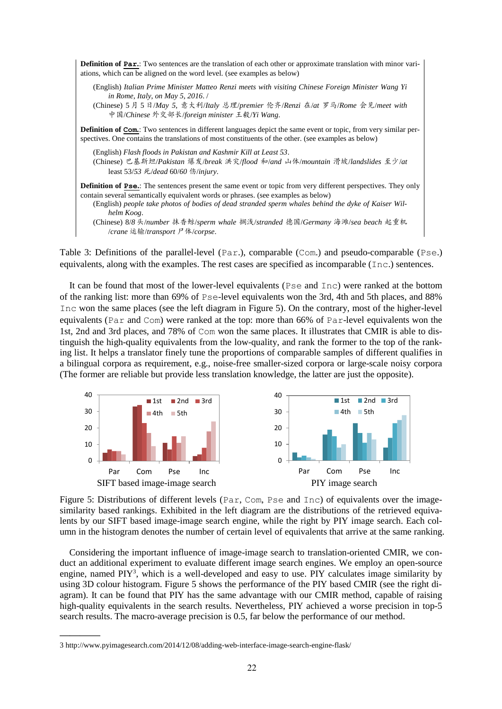

Table 3: Definitions of the parallel-level (Par.), comparable (Com.) and pseudo-comparable (Pse.) equivalents, along with the examples. The rest cases are specified as incomparable (Inc.) sentences.

It can be found that most of the lower-level equivalents (Pse and Inc) were ranked at the bottom of the ranking list: more than 69% of Pse-level equivalents won the 3rd, 4th and 5th places, and 88% Inc won the same places (see the left diagram in Figure 5). On the contrary, most of the higher-level equivalents (Par and Com) were ranked at the top: more than 66% of Par-level equivalents won the 1st, 2nd and 3rd places, and 78% of Com won the same places. It illustrates that CMIR is able to distinguish the high-quality equivalents from the low-quality, and rank the former to the top of the ranking list. It helps a translator finely tune the proportions of comparable samples of different qualifies in a bilingual corpora as requirement, e.g., noise-free smaller-sized corpora or large-scale noisy corpora (The former are reliable but provide less translation knowledge, the latter are just the opposite).



Figure 5: Distributions of different levels (Par, Com, Pse and Inc) of equivalents over the imagesimilarity based rankings. Exhibited in the left diagram are the distributions of the retrieved equivalents by our SIFT based image-image search engine, while the right by PIY image search. Each column in the histogram denotes the number of certain level of equivalents that arrive at the same ranking.

Considering the important influence of image-image search to translation-oriented CMIR, we conduct an additional experiment to evaluate different image search engines. We employ an open-source engine, named PIY<sup>3</sup>, which is a well-developed and easy to use. PIY calculates image similarity by using 3D colour histogram. Figure 5 shows the performance of the PIY based CMIR (see the right diagram). It can be found that PIY has the same advantage with our CMIR method, capable of raising high-quality equivalents in the search results. Nevertheless, PIY achieved a worse precision in top-5 search results. The macro-average precision is 0.5, far below the performance of our method.

**————**

<sup>3</sup> http://www.pyimagesearch.com/2014/12/08/adding-web-interface-image-search-engine-flask/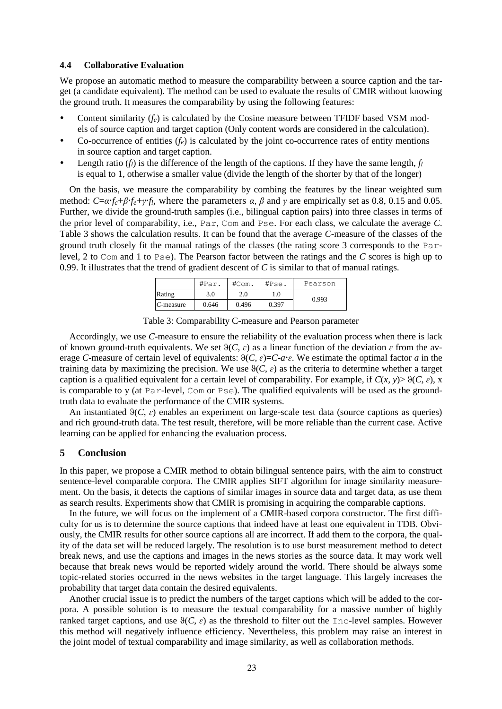# **4.4 Collaborative Evaluation**

We propose an automatic method to measure the comparability between a source caption and the target (a candidate equivalent). The method can be used to evaluate the results of CMIR without knowing the ground truth. It measures the comparability by using the following features:

- Content similarity (*fc*) is calculated by the Cosine measure between TFIDF based VSM models of source caption and target caption (Only content words are considered in the calculation).
- Co-occurrence of entities  $(f_e)$  is calculated by the joint co-occurrence rates of entity mentions in source caption and target caption.
- Length ratio (*f<sub>l</sub>*) is the difference of the length of the captions. If they have the same length,  $f_l$ is equal to 1, otherwise a smaller value (divide the length of the shorter by that of the longer)

On the basis, we measure the comparability by combing the features by the linear weighted sum method:  $C = \alpha f_c + \beta f_e + \gamma f_l$ , where the parameters  $\alpha$ ,  $\beta$  and  $\gamma$  are empirically set as 0.8, 0.15 and 0.05. Further, we divide the ground-truth samples (i.e., bilingual caption pairs) into three classes in terms of the prior level of comparability, i.e., Par, Com and Pse. For each class, we calculate the average *C*. Table 3 shows the calculation results. It can be found that the average *C*-measure of the classes of the ground truth closely fit the manual ratings of the classes (the rating score 3 corresponds to the Parlevel, 2 to Com and 1 to Pse). The Pearson factor between the ratings and the *C* scores is high up to 0.99. It illustrates that the trend of gradient descent of *C* is similar to that of manual ratings.

|              | #Par. | #Com. | #Pse. | Pearson |
|--------------|-------|-------|-------|---------|
| Rating       | 3.0   | 2.0   | .0    | 0.993   |
| $C$ -measure | 0.646 | 0.496 | 0.397 |         |

|  | Table 3: Comparability C-measure and Pearson parameter |  |
|--|--------------------------------------------------------|--|
|--|--------------------------------------------------------|--|

Accordingly, we use *C*-measure to ensure the reliability of the evaluation process when there is lack of known ground-truth equivalents. We set  $\theta(C, \varepsilon)$  as a linear function of the deviation  $\varepsilon$  from the average *C*-measure of certain level of equivalents:  $\vartheta(C, \varepsilon) = C - a \cdot \varepsilon$ . We estimate the optimal factor *a* in the training data by maximizing the precision. We use  $\theta(C, \varepsilon)$  as the criteria to determine whether a target caption is a qualified equivalent for a certain level of comparability. For example, if  $C(x, y) > \vartheta(C, \varepsilon)$ , x is comparable to y (at Par-level, Com or Pse). The qualified equivalents will be used as the groundtruth data to evaluate the performance of the CMIR systems.

An instantiated  $\Theta(C, \varepsilon)$  enables an experiment on large-scale test data (source captions as queries) and rich ground-truth data. The test result, therefore, will be more reliable than the current case. Active learning can be applied for enhancing the evaluation process.

# **5 Conclusion**

In this paper, we propose a CMIR method to obtain bilingual sentence pairs, with the aim to construct sentence-level comparable corpora. The CMIR applies SIFT algorithm for image similarity measurement. On the basis, it detects the captions of similar images in source data and target data, as use them as search results. Experiments show that CMIR is promising in acquiring the comparable captions.

In the future, we will focus on the implement of a CMIR-based corpora constructor. The first difficulty for us is to determine the source captions that indeed have at least one equivalent in TDB. Obviously, the CMIR results for other source captions all are incorrect. If add them to the corpora, the quality of the data set will be reduced largely. The resolution is to use burst measurement method to detect break news, and use the captions and images in the news stories as the source data. It may work well because that break news would be reported widely around the world. There should be always some topic-related stories occurred in the news websites in the target language. This largely increases the probability that target data contain the desired equivalents.

Another crucial issue is to predict the numbers of the target captions which will be added to the corpora. A possible solution is to measure the textual comparability for a massive number of highly ranked target captions, and use  $\Theta(C, \varepsilon)$  as the threshold to filter out the Inc-level samples. However this method will negatively influence efficiency. Nevertheless, this problem may raise an interest in the joint model of textual comparability and image similarity, as well as collaboration methods.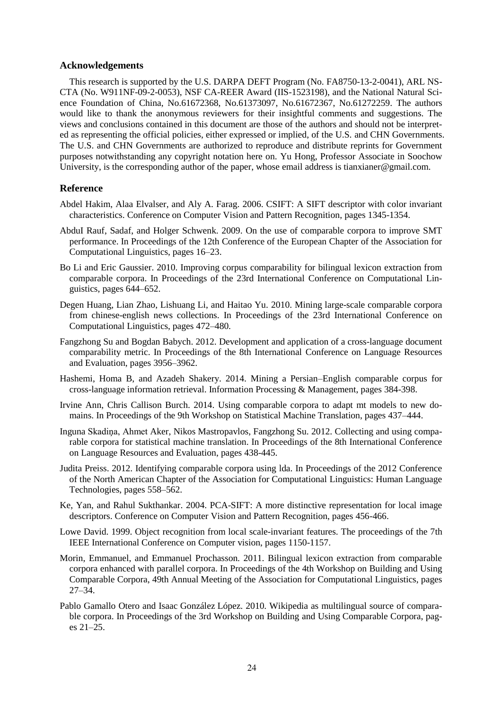# **Acknowledgements**

This research is supported by the U.S. DARPA DEFT Program (No. FA8750-13-2-0041), ARL NS-CTA (No. W911NF-09-2-0053), NSF CA-REER Award (IIS-1523198), and the National Natural Science Foundation of China, No.61672368, No.61373097, No.61672367, No.61272259. The authors would like to thank the anonymous reviewers for their insightful comments and suggestions. The views and conclusions contained in this document are those of the authors and should not be interpreted as representing the official policies, either expressed or implied, of the U.S. and CHN Governments. The U.S. and CHN Governments are authorized to reproduce and distribute reprints for Government purposes notwithstanding any copyright notation here on. Yu Hong, Professor Associate in Soochow University, is the corresponding author of the paper, whose email address is tianxianer@gmail.com.

# **Reference**

- Abdel Hakim, Alaa Elvalser, and Aly A. Farag. 2006. CSIFT: A SIFT descriptor with color invariant characteristics. Conference on Computer Vision and Pattern Recognition, pages 1345-1354.
- AbduI Rauf, Sadaf, and Holger Schwenk. 2009. On the use of comparable corpora to improve SMT performance. In Proceedings of the 12th Conference of the European Chapter of the Association for Computational Linguistics, pages 16–23.
- Bo Li and Eric Gaussier. 2010. Improving corpus comparability for bilingual lexicon extraction from comparable corpora. In Proceedings of the 23rd International Conference on Computational Linguistics, pages 644–652.
- Degen Huang, Lian Zhao, Lishuang Li, and Haitao Yu. 2010. Mining large-scale comparable corpora from chinese-english news collections. In Proceedings of the 23rd International Conference on Computational Linguistics, pages 472–480.
- Fangzhong Su and Bogdan Babych. 2012. Development and application of a cross-language document comparability metric. In Proceedings of the 8th International Conference on Language Resources and Evaluation, pages 3956–3962.
- Hashemi, Homa B, and Azadeh Shakery. 2014. Mining a Persian–English comparable corpus for cross-language information retrieval. Information Processing & Management, pages 384-398.
- Irvine Ann, Chris Callison Burch. 2014. Using comparable corpora to adapt mt models to new domains. In Proceedings of the 9th Workshop on Statistical Machine Translation, pages 437–444.
- Inguna Skadiņa, Ahmet Aker, Nikos Mastropavlos, Fangzhong Su. 2012. Collecting and using comparable corpora for statistical machine translation. In Proceedings of the 8th International Conference on Language Resources and Evaluation, pages 438-445.
- Judita Preiss. 2012. Identifying comparable corpora using lda. In Proceedings of the 2012 Conference of the North American Chapter of the Association for Computational Linguistics: Human Language Technologies, pages 558–562.
- Ke, Yan, and Rahul Sukthankar. 2004. PCA-SIFT: A more distinctive representation for local image descriptors. Conference on Computer Vision and Pattern Recognition, pages 456-466.
- Lowe David. 1999. Object recognition from local scale-invariant features. The proceedings of the 7th IEEE International Conference on Computer vision, pages 1150-1157.
- Morin, Emmanuel, and Emmanuel Prochasson. 2011. Bilingual lexicon extraction from comparable corpora enhanced with parallel corpora. In Proceedings of the 4th Workshop on Building and Using Comparable Corpora, 49th Annual Meeting of the Association for Computational Linguistics, pages  $27 - 34$ .
- Pablo Gamallo Otero and Isaac González López. 2010. Wikipedia as multilingual source of comparable corpora. In Proceedings of the 3rd Workshop on Building and Using Comparable Corpora, pag $es$  21–25.